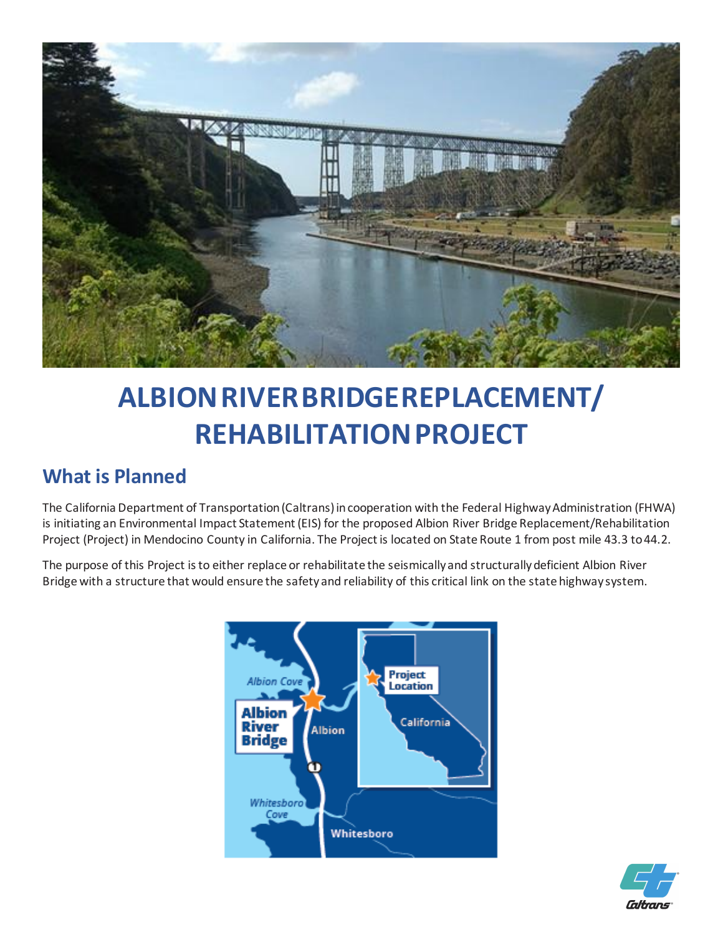

# **ALBIONRIVERBRIDGEREPLACEMENT/ REHABILITATION PROJECT**

### **What is Planned**

The California Department of Transportation (Caltrans) in cooperation with the Federal Highway Administration (FHWA) is initiating an Environmental Impact Statement (EIS) for the proposed Albion River Bridge Replacement/Rehabilitation Project (Project) in Mendocino County in California. The Project is located on State Route 1 from post mile 43.3 to 44.2.

The purpose of this Project is to either replace or rehabilitate the seismically and structurally deficient Albion River Bridge with a structure that would ensure the safety and reliability of this critical link on the state highway system.



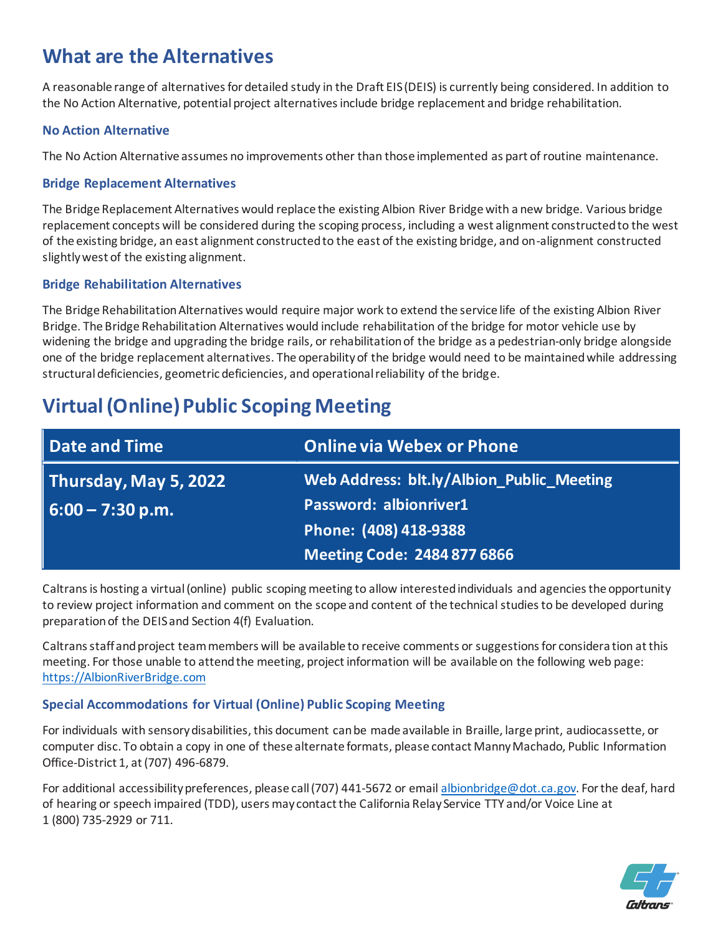### **What are the Alternatives**

A reasonable range of alternatives for detailed study in the Draft EIS (DEIS) is currently being considered. In addition to the No Action Alternative, potential project alternatives include bridge replacement and bridge rehabilitation.

#### **No Action Alternative**

The No Action Alternative assumes no improvements other than those implemented as part of routine maintenance.

#### **Bridge Replacement Alternatives**

The Bridge Replacement Alternatives would replace the existing Albion River Bridge with a new bridge. Various bridge replacement concepts will be considered during the scoping process, including a west alignment constructed to the west of the existing bridge, an east alignment constructed to the east of the existing bridge, and on-alignment constructed slightly west of the existing alignment.

#### **Bridge Rehabilitation Alternatives**

The Bridge Rehabilitation Alternatives would require major work to extend the service life of the existing Albion River Bridge. The Bridge Rehabilitation Alternatives would include rehabilitation of the bridge for motor vehicle use by widening the bridge and upgrading the bridge rails, or rehabilitation of the bridge as a pedestrian-only bridge alongside one of the bridge replacement alternatives. The operability of the bridge would need to be maintained while addressing structural deficiencies, geometric deficiencies, and operational reliability of the bridge.

### **Virtual (Online) Public Scoping Meeting**

| Date and Time         | <b>Online via Webex or Phone</b>          |  |
|-----------------------|-------------------------------------------|--|
| Thursday, May 5, 2022 | Web Address: blt.ly/Albion_Public_Meeting |  |
| $ 6:00 - 7:30 p.m.$   | <b>Password: albionriver1</b>             |  |
|                       | Phone: (408) 418-9388                     |  |
|                       | <b>Meeting Code: 2484 877 6866</b>        |  |

Caltrans is hosting a virtual (online) public scoping meeting to allow interested individuals and agencies the opportunity to review project information and comment on the scope and content of the technical studies to be developed during preparation of the DEIS and Section 4(f) Evaluation.

Caltrans staff and project team members will be available to receive comments or suggestions for considera tion at this meeting. For those unable to attend the meeting, project information will be available on the following web page: [https://AlbionRiverBridge.com](https://albionriverbridge.com/)

#### **Special Accommodations for Virtual (Online) Public Scoping Meeting**

For individuals with sensory disabilities, this document can be made available in Braille, large print, audiocassette, or computer disc. To obtain a copy in one of these alternate formats, please contact Manny Machado, Public Information Office-District 1, at (707) 496-6879.

For additional accessibility preferences, please call (707) 441-5672 or email albionbridge@dot.ca.gov. For the deaf, hard of hearing or speech impaired (TDD), users may contact the California Relay Service TTY and/or Voice Line at 1 (800) 735-2929 or 711.